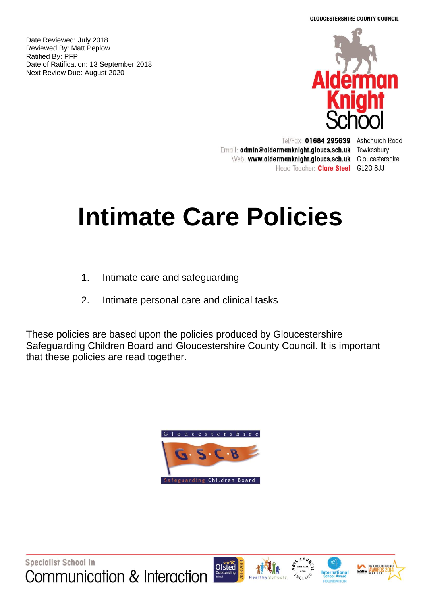**GLOUCESTERSHIRE COUNTY COUNCIL** 

Date Reviewed: July 2018 Reviewed By: Matt Peplow Ratified By: PFP Date of Ratification: 13 September 2018 Next Review Due: August 2020



Tel/Fax: 01684 295639 Ashchurch Road Email: admin@aldermanknight.gloucs.sch.uk Tewkesbury Web: www.aldermanknight.gloucs.sch.uk Gloucestershire Head Teacher: Clare Steel GL20 8JJ

# **Intimate Care Policies**

- 1. Intimate care and safeguarding
- 2. Intimate personal care and clinical tasks

These policies are based upon the policies produced by Gloucestershire Safeguarding Children Board and Gloucestershire County Council. It is important that these policies are read together.









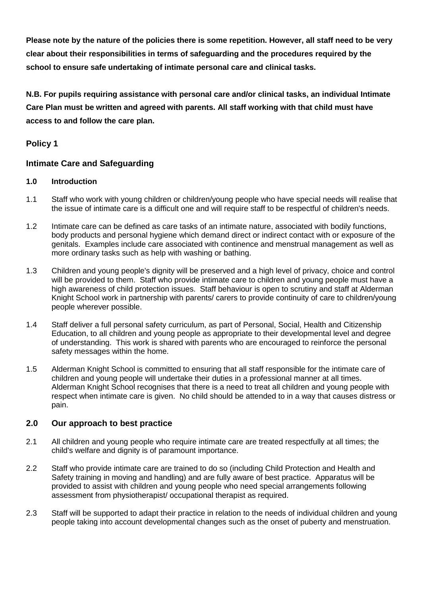**Please note by the nature of the policies there is some repetition. However, all staff need to be very clear about their responsibilities in terms of safeguarding and the procedures required by the school to ensure safe undertaking of intimate personal care and clinical tasks.**

**N.B. For pupils requiring assistance with personal care and/or clinical tasks, an individual Intimate Care Plan must be written and agreed with parents. All staff working with that child must have access to and follow the care plan.**

# **Policy 1**

# **Intimate Care and Safeguarding**

# **1.0 Introduction**

- 1.1 Staff who work with young children or children/young people who have special needs will realise that the issue of intimate care is a difficult one and will require staff to be respectful of children's needs.
- 1.2 Intimate care can be defined as care tasks of an intimate nature, associated with bodily functions, body products and personal hygiene which demand direct or indirect contact with or exposure of the genitals. Examples include care associated with continence and menstrual management as well as more ordinary tasks such as help with washing or bathing.
- 1.3 Children and young people's dignity will be preserved and a high level of privacy, choice and control will be provided to them. Staff who provide intimate care to children and young people must have a high awareness of child protection issues. Staff behaviour is open to scrutiny and staff at Alderman Knight School work in partnership with parents/ carers to provide continuity of care to children/young people wherever possible.
- 1.4 Staff deliver a full personal safety curriculum, as part of Personal, Social, Health and Citizenship Education, to all children and young people as appropriate to their developmental level and degree of understanding. This work is shared with parents who are encouraged to reinforce the personal safety messages within the home.
- 1.5 Alderman Knight School is committed to ensuring that all staff responsible for the intimate care of children and young people will undertake their duties in a professional manner at all times. Alderman Knight School recognises that there is a need to treat all children and young people with respect when intimate care is given. No child should be attended to in a way that causes distress or pain.

# **2.0 Our approach to best practice**

- 2.1 All children and young people who require intimate care are treated respectfully at all times; the child's welfare and dignity is of paramount importance.
- 2.2 Staff who provide intimate care are trained to do so (including Child Protection and Health and Safety training in moving and handling) and are fully aware of best practice. Apparatus will be provided to assist with children and young people who need special arrangements following assessment from physiotherapist/ occupational therapist as required.
- 2.3 Staff will be supported to adapt their practice in relation to the needs of individual children and young people taking into account developmental changes such as the onset of puberty and menstruation.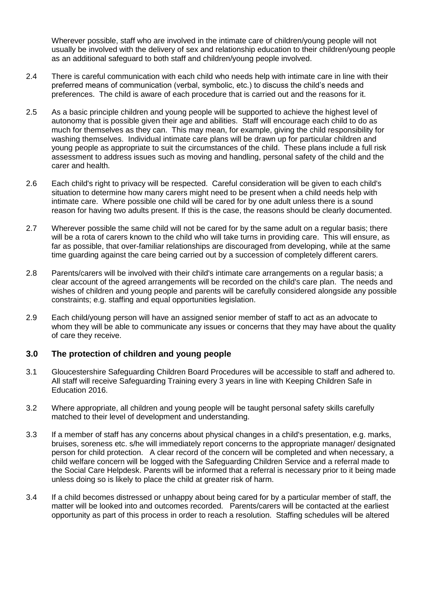Wherever possible, staff who are involved in the intimate care of children/young people will not usually be involved with the delivery of sex and relationship education to their children/young people as an additional safeguard to both staff and children/young people involved.

- 2.4 There is careful communication with each child who needs help with intimate care in line with their preferred means of communication (verbal, symbolic, etc.) to discuss the child's needs and preferences. The child is aware of each procedure that is carried out and the reasons for it.
- 2.5 As a basic principle children and young people will be supported to achieve the highest level of autonomy that is possible given their age and abilities. Staff will encourage each child to do as much for themselves as they can. This may mean, for example, giving the child responsibility for washing themselves. Individual intimate care plans will be drawn up for particular children and young people as appropriate to suit the circumstances of the child. These plans include a full risk assessment to address issues such as moving and handling, personal safety of the child and the carer and health.
- 2.6 Each child's right to privacy will be respected. Careful consideration will be given to each child's situation to determine how many carers might need to be present when a child needs help with intimate care. Where possible one child will be cared for by one adult unless there is a sound reason for having two adults present. If this is the case, the reasons should be clearly documented.
- 2.7 Wherever possible the same child will not be cared for by the same adult on a regular basis; there will be a rota of carers known to the child who will take turns in providing care. This will ensure, as far as possible, that over-familiar relationships are discouraged from developing, while at the same time guarding against the care being carried out by a succession of completely different carers.
- 2.8 Parents/carers will be involved with their child's intimate care arrangements on a regular basis; a clear account of the agreed arrangements will be recorded on the child's care plan. The needs and wishes of children and young people and parents will be carefully considered alongside any possible constraints; e.g. staffing and equal opportunities legislation.
- 2.9 Each child/young person will have an assigned senior member of staff to act as an advocate to whom they will be able to communicate any issues or concerns that they may have about the quality of care they receive.

# **3.0 The protection of children and young people**

- 3.1 Gloucestershire Safeguarding Children Board Procedures will be accessible to staff and adhered to. All staff will receive Safeguarding Training every 3 years in line with Keeping Children Safe in Education 2016.
- 3.2 Where appropriate, all children and young people will be taught personal safety skills carefully matched to their level of development and understanding.
- 3.3 If a member of staff has any concerns about physical changes in a child's presentation, e.g. marks, bruises, soreness etc. s/he will immediately report concerns to the appropriate manager/ designated person for child protection. A clear record of the concern will be completed and when necessary, a child welfare concern will be logged with the Safeguarding Children Service and a referral made to the Social Care Helpdesk. Parents will be informed that a referral is necessary prior to it being made unless doing so is likely to place the child at greater risk of harm.
- 3.4 If a child becomes distressed or unhappy about being cared for by a particular member of staff, the matter will be looked into and outcomes recorded. Parents/carers will be contacted at the earliest opportunity as part of this process in order to reach a resolution. Staffing schedules will be altered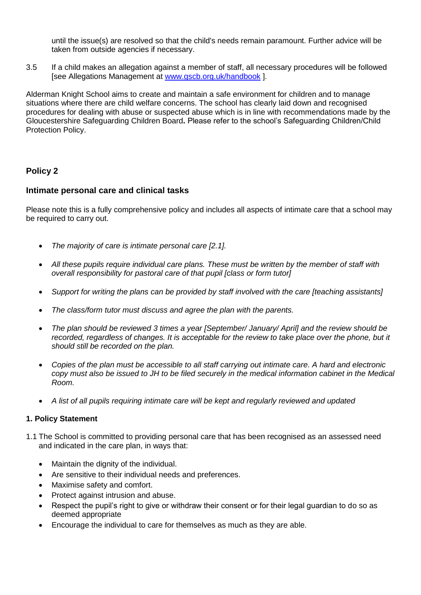until the issue(s) are resolved so that the child's needs remain paramount. Further advice will be taken from outside agencies if necessary.

3.5 If a child makes an allegation against a member of staff, all necessary procedures will be followed [see Allegations Management at [www.gscb.org.uk/handbook](http://www.gscb.org.uk/handbook)].

Alderman Knight School aims to create and maintain a safe environment for children and to manage situations where there are child welfare concerns. The school has clearly laid down and recognised procedures for dealing with abuse or suspected abuse which is in line with recommendations made by the Gloucestershire Safeguarding Children Board**.** Please refer to the school's Safeguarding Children/Child Protection Policy.

# **Policy 2**

# **Intimate personal care and clinical tasks**

Please note this is a fully comprehensive policy and includes all aspects of intimate care that a school may be required to carry out.

- *The majority of care is intimate personal care [2.1].*
- *All these pupils require individual care plans. These must be written by the member of staff with overall responsibility for pastoral care of that pupil [class or form tutor]*
- *Support for writing the plans can be provided by staff involved with the care [teaching assistants]*
- *The class/form tutor must discuss and agree the plan with the parents.*
- *The plan should be reviewed 3 times a year [September/ January/ April] and the review should be*  recorded, regardless of changes. It is acceptable for the review to take place over the phone, but it *should still be recorded on the plan.*
- *Copies of the plan must be accessible to all staff carrying out intimate care. A hard and electronic copy must also be issued to JH to be filed securely in the medical information cabinet in the Medical Room.*
- *A list of all pupils requiring intimate care will be kept and regularly reviewed and updated*

# **1. Policy Statement**

- 1.1 The School is committed to providing personal care that has been recognised as an assessed need and indicated in the care plan, in ways that:
	- Maintain the dignity of the individual.
	- Are sensitive to their individual needs and preferences.
	- Maximise safety and comfort.
	- Protect against intrusion and abuse.
	- Respect the pupil's right to give or withdraw their consent or for their legal guardian to do so as deemed appropriate
	- Encourage the individual to care for themselves as much as they are able.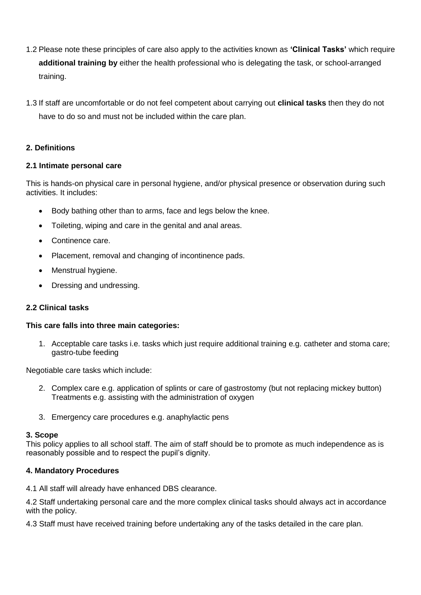- 1.2 Please note these principles of care also apply to the activities known as **'Clinical Tasks'** which require **additional training by** either the health professional who is delegating the task, or school-arranged training.
- 1.3 If staff are uncomfortable or do not feel competent about carrying out **clinical tasks** then they do not have to do so and must not be included within the care plan.

# **2. Definitions**

# **2.1 Intimate personal care**

This is hands-on physical care in personal hygiene, and/or physical presence or observation during such activities. It includes:

- Body bathing other than to arms, face and legs below the knee.
- Toileting, wiping and care in the genital and anal areas.
- Continence care.
- Placement, removal and changing of incontinence pads.
- Menstrual hygiene.
- Dressing and undressing.

# **2.2 Clinical tasks**

# **This care falls into three main categories:**

1. Acceptable care tasks i.e. tasks which just require additional training e.g. catheter and stoma care; gastro-tube feeding

Negotiable care tasks which include:

- 2. Complex care e.g. application of splints or care of gastrostomy (but not replacing mickey button) Treatments e.g. assisting with the administration of oxygen
- 3. Emergency care procedures e.g. anaphylactic pens

# **3. Scope**

This policy applies to all school staff. The aim of staff should be to promote as much independence as is reasonably possible and to respect the pupil's dignity.

# **4. Mandatory Procedures**

4.1 All staff will already have enhanced DBS clearance.

4.2 Staff undertaking personal care and the more complex clinical tasks should always act in accordance with the policy.

4.3 Staff must have received training before undertaking any of the tasks detailed in the care plan.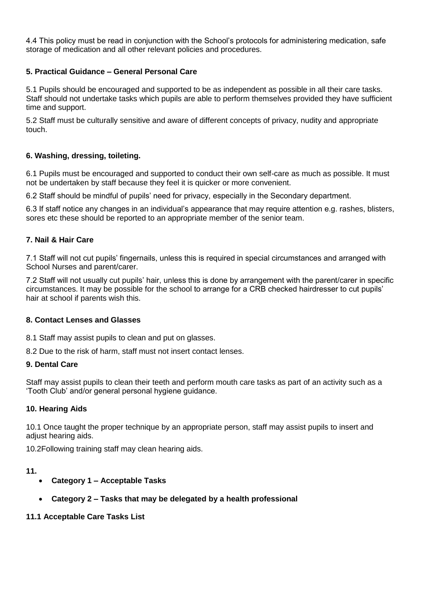4.4 This policy must be read in conjunction with the School's protocols for administering medication, safe storage of medication and all other relevant policies and procedures.

# **5. Practical Guidance – General Personal Care**

5.1 Pupils should be encouraged and supported to be as independent as possible in all their care tasks. Staff should not undertake tasks which pupils are able to perform themselves provided they have sufficient time and support.

5.2 Staff must be culturally sensitive and aware of different concepts of privacy, nudity and appropriate touch.

#### **6. Washing, dressing, toileting.**

6.1 Pupils must be encouraged and supported to conduct their own self-care as much as possible. It must not be undertaken by staff because they feel it is quicker or more convenient.

6.2 Staff should be mindful of pupils' need for privacy, especially in the Secondary department.

6.3 If staff notice any changes in an individual's appearance that may require attention e.g. rashes, blisters, sores etc these should be reported to an appropriate member of the senior team.

#### **7. Nail & Hair Care**

7.1 Staff will not cut pupils' fingernails, unless this is required in special circumstances and arranged with School Nurses and parent/carer.

7.2 Staff will not usually cut pupils' hair, unless this is done by arrangement with the parent/carer in specific circumstances. It may be possible for the school to arrange for a CRB checked hairdresser to cut pupils' hair at school if parents wish this.

#### **8. Contact Lenses and Glasses**

8.1 Staff may assist pupils to clean and put on glasses.

8.2 Due to the risk of harm, staff must not insert contact lenses.

#### **9. Dental Care**

Staff may assist pupils to clean their teeth and perform mouth care tasks as part of an activity such as a 'Tooth Club' and/or general personal hygiene guidance.

#### **10. Hearing Aids**

10.1 Once taught the proper technique by an appropriate person, staff may assist pupils to insert and adjust hearing aids.

10.2Following training staff may clean hearing aids.

#### **11.**

- **Category 1 – Acceptable Tasks**
- **Category 2 – Tasks that may be delegated by a health professional**

#### **11.1 Acceptable Care Tasks List**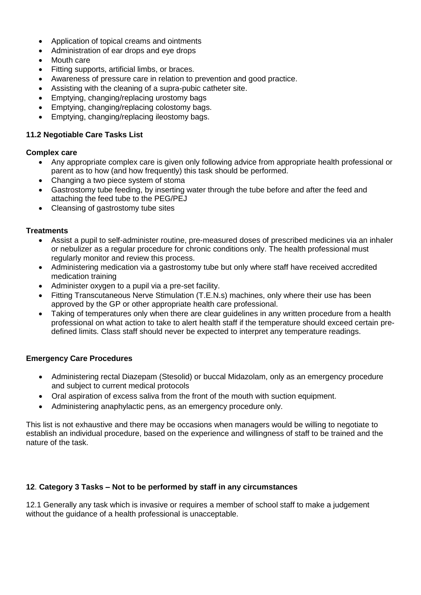- Application of topical creams and ointments
- Administration of ear drops and eye drops
- Mouth care
- Fitting supports, artificial limbs, or braces.
- Awareness of pressure care in relation to prevention and good practice.
- Assisting with the cleaning of a supra-pubic catheter site.
- **Emptying, changing/replacing urostomy bags**
- Emptying, changing/replacing colostomy bags.
- Emptying, changing/replacing ileostomy bags.

#### **11.2 Negotiable Care Tasks List**

#### **Complex care**

- Any appropriate complex care is given only following advice from appropriate health professional or parent as to how (and how frequently) this task should be performed.
- Changing a two piece system of stoma
- Gastrostomy tube feeding, by inserting water through the tube before and after the feed and attaching the feed tube to the PEG/PEJ
- Cleansing of gastrostomy tube sites

#### **Treatments**

- Assist a pupil to self-administer routine, pre-measured doses of prescribed medicines via an inhaler or nebulizer as a regular procedure for chronic conditions only. The health professional must regularly monitor and review this process.
- Administering medication via a gastrostomy tube but only where staff have received accredited medication training
- Administer oxygen to a pupil via a pre-set facility.
- Fitting Transcutaneous Nerve Stimulation (T.E.N.s) machines, only where their use has been approved by the GP or other appropriate health care professional.
- Taking of temperatures only when there are clear quidelines in any written procedure from a health professional on what action to take to alert health staff if the temperature should exceed certain predefined limits. Class staff should never be expected to interpret any temperature readings.

# **Emergency Care Procedures**

- Administering rectal Diazepam (Stesolid) or buccal Midazolam, only as an emergency procedure and subject to current medical protocols
- Oral aspiration of excess saliva from the front of the mouth with suction equipment.
- Administering anaphylactic pens, as an emergency procedure only.

This list is not exhaustive and there may be occasions when managers would be willing to negotiate to establish an individual procedure, based on the experience and willingness of staff to be trained and the nature of the task.

# **12**. **Category 3 Tasks – Not to be performed by staff in any circumstances**

12.1 Generally any task which is invasive or requires a member of school staff to make a judgement without the guidance of a health professional is unacceptable.